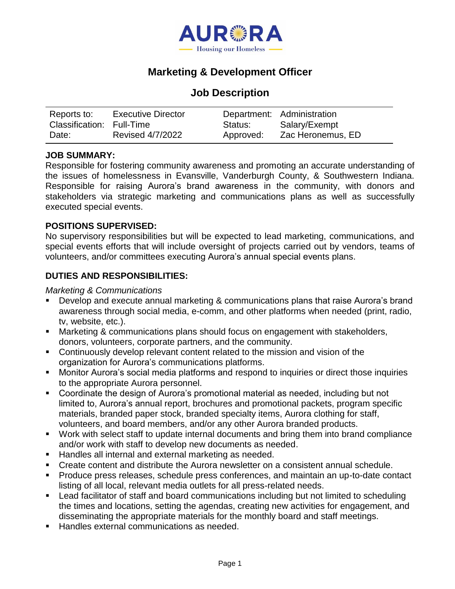

# **Marketing & Development Officer**

# **Job Description**

| Reports to:<br>Classification: Full-Time | <b>Executive Director</b> | Status:   | Department: Administration<br>Salary/Exempt |
|------------------------------------------|---------------------------|-----------|---------------------------------------------|
| Date:                                    | <b>Revised 4/7/2022</b>   | Approved: | Zac Heronemus, ED                           |

### **JOB SUMMARY:**

Responsible for fostering community awareness and promoting an accurate understanding of the issues of homelessness in Evansville, Vanderburgh County, & Southwestern Indiana. Responsible for raising Aurora's brand awareness in the community, with donors and stakeholders via strategic marketing and communications plans as well as successfully executed special events.

### **POSITIONS SUPERVISED:**

No supervisory responsibilities but will be expected to lead marketing, communications, and special events efforts that will include oversight of projects carried out by vendors, teams of volunteers, and/or committees executing Aurora's annual special events plans.

## **DUTIES AND RESPONSIBILITIES:**

#### *Marketing & Communications*

- Develop and execute annual marketing & communications plans that raise Aurora's brand awareness through social media, e-comm, and other platforms when needed (print, radio, tv, website, etc.).
- Marketing & communications plans should focus on engagement with stakeholders, donors, volunteers, corporate partners, and the community.
- Continuously develop relevant content related to the mission and vision of the organization for Aurora's communications platforms.
- Monitor Aurora's social media platforms and respond to inquiries or direct those inquiries to the appropriate Aurora personnel.
- Coordinate the design of Aurora's promotional material as needed, including but not limited to, Aurora's annual report, brochures and promotional packets, program specific materials, branded paper stock, branded specialty items, Aurora clothing for staff, volunteers, and board members, and/or any other Aurora branded products.
- Work with select staff to update internal documents and bring them into brand compliance and/or work with staff to develop new documents as needed.
- Handles all internal and external marketing as needed.
- Create content and distribute the Aurora newsletter on a consistent annual schedule.
- Produce press releases, schedule press conferences, and maintain an up-to-date contact listing of all local, relevant media outlets for all press-related needs.
- Lead facilitator of staff and board communications including but not limited to scheduling the times and locations, setting the agendas, creating new activities for engagement, and disseminating the appropriate materials for the monthly board and staff meetings.
- Handles external communications as needed.